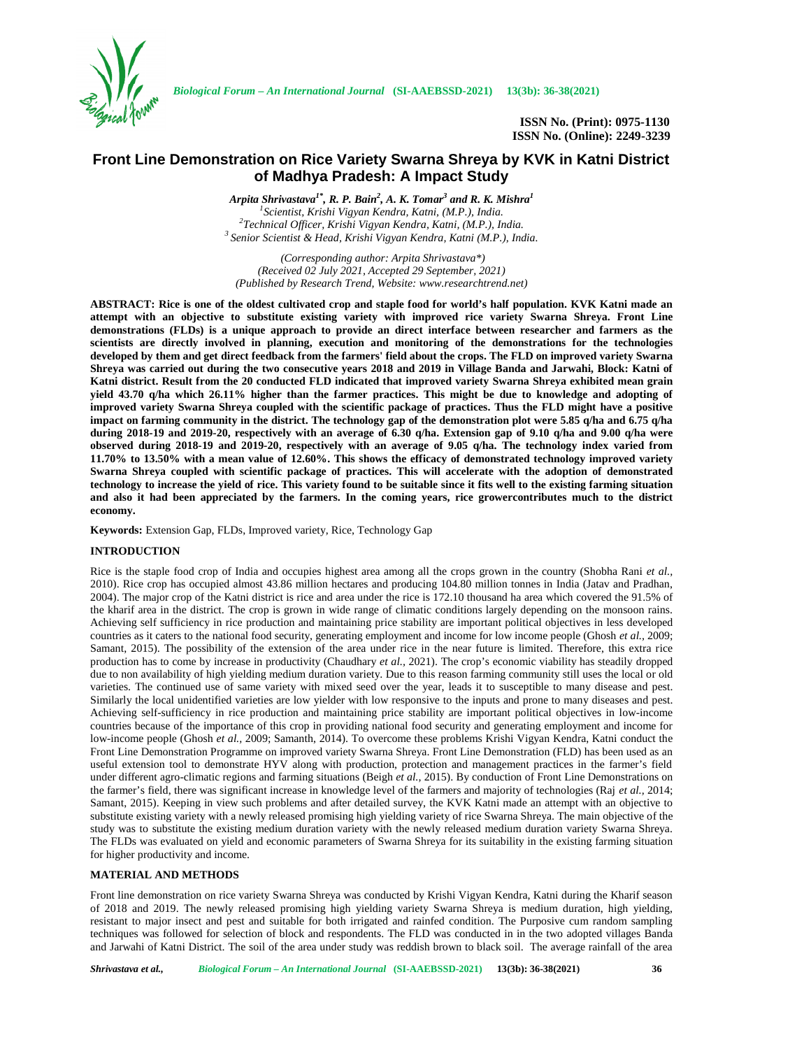

# **Front Line Demonstration on Rice Variety Swarna Shreya by KVK in Katni District of Madhya Pradesh: A Impact Study**

*Arpita Shrivastava1\*, R. P. Bain<sup>2</sup> , A. K. Tomar<sup>3</sup> and R. K. Mishra<sup>1</sup>* <sup>1</sup>Scientist, Krishi Vigyan Kendra, Katni, (M.P.), India.<br><sup>2</sup>Technical Officer, Krishi Vigyan Kendra, Katni, (M.P.), India.<br><sup>3</sup> Senior Scientist & Head, Krishi Vigyan Kendra, Katni (M.P.), India.

*(Corresponding author: Arpita Shrivastava\*) (Received 02 July 2021, Accepted 29 September, 2021) (Published by Research Trend, Website: [www.researchtrend.net\)](www.researchtrend.net)*

**ABSTRACT: Rice is one of the oldest cultivated crop and staple food for world's half population. KVK Katni made an attempt with an objective to substitute existing variety with improved rice variety Swarna Shreya. Front Line demonstrations (FLDs) is a unique approach to provide an direct interface between researcher and farmers as the scientists are directly involved in planning, execution and monitoring of the demonstrations for the technologies developed by them and get direct feedback from the farmers' field about the crops. The FLD on improved variety Swarna Shreya was carried out during the two consecutive years 2018 and 2019 in Village Banda and Jarwahi, Block: Katni of Katni district. Result from the 20 conducted FLD indicated that improved variety Swarna Shreya exhibited mean grain yield 43.70 q/ha which 26.11% higher than the farmer practices. This might be due to knowledge and adopting of improved variety Swarna Shreya coupled with the scientific package of practices. Thus the FLD might have a positive impact on farming community in the district. The technology gap of the demonstration plot were 5.85 q/ha and 6.75 q/ha during 2018-19 and 2019-20, respectively with an average of 6.30 q/ha. Extension gap of 9.10 q/ha and 9.00 q/ha were observed during 2018-19 and 2019-20, respectively with an average of 9.05 q/ha. The technology index varied from 11.70% to 13.50% with a mean value of 12.60%. This shows the efficacy of demonstrated technology improved variety Swarna Shreya coupled with scientific package of practices. This will accelerate with the adoption of demonstrated technology to increase the yield of rice. This variety found to be suitable since it fits well to the existing farming situation and also it had been appreciated by the farmers. In the coming years, rice growercontributes much to the district economy.**

**Keywords:** Extension Gap, FLDs, Improved variety, Rice, Technology Gap

### **INTRODUCTION**

Rice is the staple food crop of India and occupies highest area among all the crops grown in the country (Shobha Rani *et al.,* 2010). Rice crop has occupied almost 43.86 million hectares and producing 104.80 million tonnes in India (Jatav and Pradhan, 2004). The major crop of the Katni district is rice and area under the rice is 172.10 thousand ha area which covered the 91.5% of the kharif area in the district. The crop is grown in wide range of climatic conditions largely depending on the monsoon rains. Achieving self sufficiency in rice production and maintaining price stability are important political objectives in less developed countries as it caters to the national food security, generating employment and income for low income people (Ghosh *et al.,* 2009; Samant, 2015). The possibility of the extension of the area under rice in the near future is limited. Therefore, this extra rice production has to come by increase in productivity (Chaudhary *et al.,* 2021). The crop's economic viability has steadily dropped due to non availability of high yielding medium duration variety. Due to this reason farming community still uses the local or old varieties. The continued use of same variety with mixed seed over the year, leads it to susceptible to many disease and pest. Similarly the local unidentified varieties are low yielder with low responsive to the inputs and prone to many diseases and pest. Achieving self-sufficiency in rice production and maintaining price stability are important political objectives in low-income countries because of the importance of this crop in providing national food security and generating employment and income for low-income people (Ghosh *et al.,* 2009; Samanth, 2014). To overcome these problems Krishi Vigyan Kendra, Katni conduct the Front Line Demonstration Programme on improved variety Swarna Shreya. Front Line Demonstration (FLD) has been used as an useful extension tool to demonstrate HYV along with production, protection and management practices in the farmer's field under different agro-climatic regions and farming situations (Beigh *et al.,* 2015). By conduction of Front Line Demonstrations on the farmer's field, there was significant increase in knowledge level of the farmers and majority of technologies (Raj *et al.,* 2014; Samant, 2015). Keeping in view such problems and after detailed survey, the KVK Katni made an attempt with an objective to substitute existing variety with a newly released promising high yielding variety of rice Swarna Shreya. The main objective of the study was to substitute the existing medium duration variety with the newly released medium duration variety Swarna Shreya. The FLDs was evaluated on yield and economic parameters of Swarna Shreya for its suitability in the existing farming situation for higher productivity and income.

## **MATERIAL AND METHODS**

Front line demonstration on rice variety Swarna Shreya was conducted by Krishi Vigyan Kendra, Katni during the Kharif season of 2018 and 2019. The newly released promising high yielding variety Swarna Shreya is medium duration, high yielding, resistant to major insect and pest and suitable for both irrigated and rainfed condition. The Purposive cum random sampling techniques was followed for selection of block and respondents. The FLD was conducted in in the two adopted villages Banda and Jarwahi of Katni District. The soil of the area under study was reddish brown to black soil. The average rainfall of the area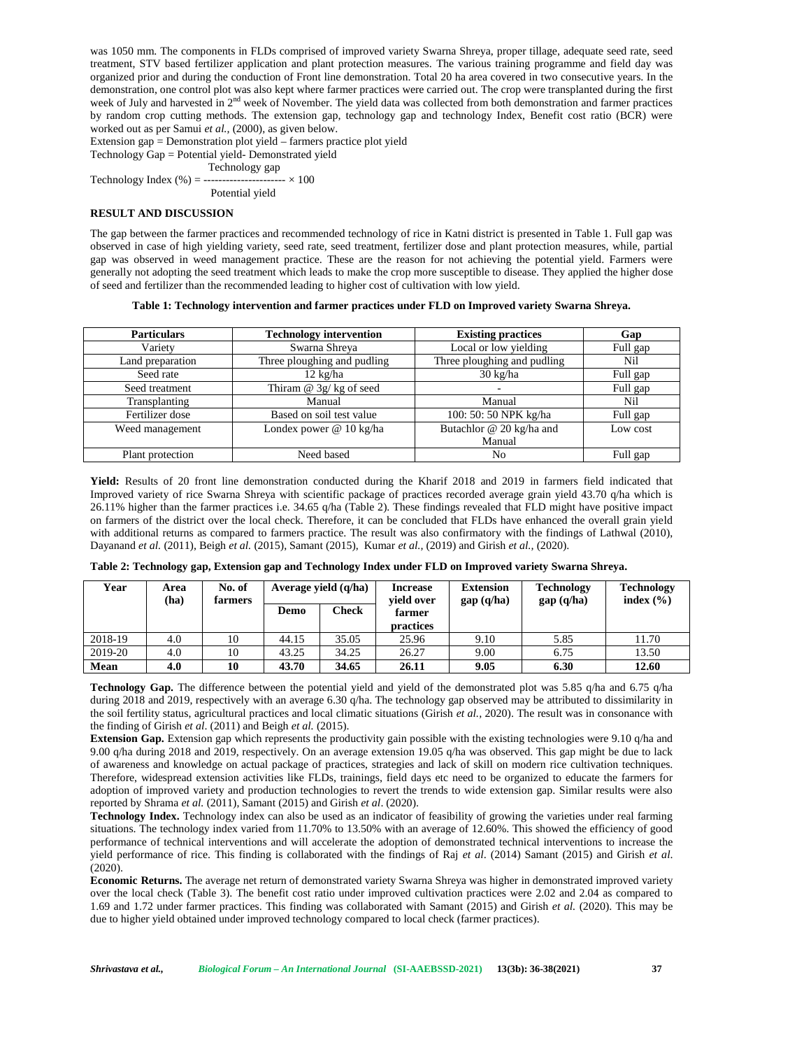was 1050 mm. The components in FLDs comprised of improved variety Swarna Shreya, proper tillage, adequate seed rate, seed treatment, STV based fertilizer application and plant protection measures. The various training programme and field day was organized prior and during the conduction of Front line demonstration. Total 20 ha area covered in two consecutive years. In the demonstration, one control plot was also kept where farmer practices were carried out. The crop were transplanted during the first week of July and harvested in 2<sup>nd</sup> week of November. The yield data was collected from both demonstration and farmer practices by random crop cutting methods. The extension gap, technology gap and technology Index, Benefit cost ratio (BCR) were worked out as per Samui *et al.,* (2000), as given below.

Extension gap = Demonstration plot yield – farmers practice plot yield

Technology Gap = Potential yield- Demonstrated yield

Technology gap

Technology Index  $(\% ) =$  ----------------------  $\times 100$ 

Potential yield

## **RESULT AND DISCUSSION**

The gap between the farmer practices and recommended technology of rice in Katni district is presented in Table 1. Full gap was observed in case of high yielding variety, seed rate, seed treatment, fertilizer dose and plant protection measures, while, partial gap was observed in weed management practice. These are the reason for not achieving the potential yield. Farmers were generally not adopting the seed treatment which leads to make the crop more susceptible to disease. They applied the higher dose of seed and fertilizer than the recommended leading to higher cost of cultivation with low yield.

|  | Table 1: Technology intervention and farmer practices under FLD on Improved variety Swarna Shreva. |  |
|--|----------------------------------------------------------------------------------------------------|--|
|  |                                                                                                    |  |

| <b>Particulars</b> | <b>Technology intervention</b> | <b>Existing practices</b>   | Gap      |
|--------------------|--------------------------------|-----------------------------|----------|
| Variety            | Swarna Shreya                  | Local or low yielding       | Full gap |
| Land preparation   | Three ploughing and pudling    | Three ploughing and pudling | Nil      |
| Seed rate          | $12 \text{ kg/ha}$             | $30 \text{ kg/ha}$          | Full gap |
| Seed treatment     | Thiram $\omega$ 3g/kg of seed  |                             | Full gap |
| Transplanting      | Manual                         | Manual                      | Nil      |
| Fertilizer dose    | Based on soil test value       | 100: 50: 50 NPK kg/ha       | Full gap |
| Weed management    | Londex power @ 10 kg/ha        | Butachlor @ 20 kg/ha and    | Low cost |
|                    |                                | Manual                      |          |
| Plant protection   | Need based                     | No                          | Full gap |

**Yield:** Results of 20 front line demonstration conducted during the Kharif 2018 and 2019 in farmers field indicated that Improved variety of rice Swarna Shreya with scientific package of practices recorded average grain yield 43.70 q/ha which is 26.11% higher than the farmer practices i.e. 34.65 q/ha (Table 2). These findings revealed that FLD might have positive impact on farmers of the district over the local check. Therefore, it can be concluded that FLDs have enhanced the overall grain yield with additional returns as compared to farmers practice. The result was also confirmatory with the findings of Lathwal (2010), Dayanand *et al.* (2011), Beigh *et al.* (2015), Samant (2015), Kumar *et al.,* (2019) and Girish *et al.,* (2020).

|  |  | Table 2: Technology gap, Extension gap and Technology Index under FLD on Improved variety Swarna Shreya. |
|--|--|----------------------------------------------------------------------------------------------------------|
|  |  |                                                                                                          |

| Year    | Area<br>(ha) | No. of<br>farmers | Average yield $(q/ha)$ |       | <b>Increase</b><br>vield over | <b>Extension</b><br>gap(q/ha) | <b>Technology</b><br>gap(q/ha) | <b>Technology</b><br>index $(\% )$ |
|---------|--------------|-------------------|------------------------|-------|-------------------------------|-------------------------------|--------------------------------|------------------------------------|
|         |              |                   | Demo                   | Check | farmer<br><b>practices</b>    |                               |                                |                                    |
| 2018-19 | 4.0          | 10                | 44.15                  | 35.05 | 25.96                         | 9.10                          | 5.85                           | 11.70                              |
| 2019-20 | 4.0          | 10                | 43.25                  | 34.25 | 26.27                         | 9.00                          | 6.75                           | 13.50                              |
| Mean    | 4.0          | 10                | 43.70                  | 34.65 | 26.11                         | 9.05                          | 6.30                           | 12.60                              |

**Technology Gap.** The difference between the potential yield and yield of the demonstrated plot was 5.85 q/ha and 6.75 q/ha during 2018 and 2019, respectively with an average 6.30 q/ha. The technology gap observed may be attributed to dissimilarity in the soil fertility status, agricultural practices and local climatic situations (Girish *et al.,* 2020). The result was in consonance with the finding of Girish *et al*. (2011) and Beigh *et al.* (2015).

**Extension Gap.** Extension gap which represents the productivity gain possible with the existing technologies were 9.10 q/ha and 9.00 q/ha during 2018 and 2019, respectively. On an average extension 19.05 q/ha was observed. This gap might be due to lack of awareness and knowledge on actual package of practices, strategies and lack of skill on modern rice cultivation techniques. Therefore, widespread extension activities like FLDs, trainings, field days etc need to be organized to educate the farmers for adoption of improved variety and production technologies to revert the trends to wide extension gap. Similar results were also reported by Shrama *et al.* (2011), Samant (2015) and Girish *et al*. (2020).

**Technology Index.** Technology index can also be used as an indicator of feasibility of growing the varieties under real farming situations. The technology index varied from 11.70% to 13.50% with an average of 12.60%. This showed the efficiency of good performance of technical interventions and will accelerate the adoption of demonstrated technical interventions to increase the yield performance of rice. This finding is collaborated with the findings of Raj *et al*. (2014) Samant (2015) and Girish *et al*. (2020).

**Economic Returns.** The average net return of demonstrated variety Swarna Shreya was higher in demonstrated improved variety over the local check (Table 3). The benefit cost ratio under improved cultivation practices were 2.02 and 2.04 as compared to 1.69 and 1.72 under farmer practices. This finding was collaborated with Samant (2015) and Girish *et al.* (2020). This may be due to higher yield obtained under improved technology compared to local check (farmer practices).